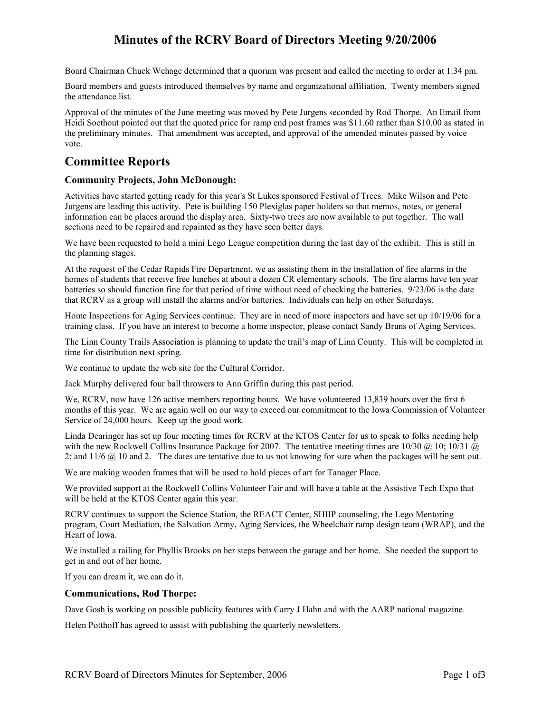# **Minutes of the RCRV Board of Directors Meeting 9/20/2006**

Board Chairman Chuck Wehage determined that a quorum was present and called the meeting to order at 1:34 pm.

Board members and guests introduced themselves by name and organizational affiliation. Twenty members signed the attendance list.

Approval of the minutes of the June meeting was moved by Pete Jurgens seconded by Rod Thorpe. An Email from Heidi Soethout pointed out that the quoted price for ramp end post frames was \$11.60 rather than \$10.00 as stated in the preliminary minutes. That amendment was accepted, and approval of the amended minutes passed by voice vote.

# **Committee Reports**

## **Community Projects, John McDonough:**

Activities have started getting ready for this year's St Lukes sponsored Festival of Trees. Mike Wilson and Pete Jurgens are leading this activity. Pete is building 150 Plexiglas paper holders so that memos, notes, or general information can be places around the display area. Sixty-two trees are now available to put together. The wall sections need to be repaired and repainted as they have seen better days.

We have been requested to hold a mini Lego League competition during the last day of the exhibit. This is still in the planning stages.

At the request of the Cedar Rapids Fire Department, we as assisting them in the installation of fire alarms in the homes of students that receive free lunches at about a dozen CR elementary schools. The fire alarms have ten year batteries so should function fine for that period of time without need of checking the batteries. 9/23/06 is the date that RCRV as a group will install the alarms and/or batteries. Individuals can help on other Saturdays.

Home Inspections for Aging Services continue. They are in need of more inspectors and have set up 10/19/06 for a training class. If you have an interest to become a home inspector, please contact Sandy Bruns of Aging Services.

The Linn County Trails Association is planning to update the trail's map of Linn County. This will be completed in time for distribution next spring.

We continue to update the web site for the Cultural Corridor.

Jack Murphy delivered four ball throwers to Ann Griffin during this past period.

We, RCRV, now have 126 active members reporting hours. We have volunteered 13,839 hours over the first 6 months of this year. We are again well on our way to exceed our commitment to the Iowa Commission of Volunteer Service of 24,000 hours. Keep up the good work.

Linda Dearinger has set up four meeting times for RCRV at the KTOS Center for us to speak to folks needing help with the new Rockwell Collins Insurance Package for 2007. The tentative meeting times are 10/30  $\omega$  10; 10/31  $\omega$ 2; and 11/6 @ 10 and 2. The dates are tentative due to us not knowing for sure when the packages will be sent out.

We are making wooden frames that will be used to hold pieces of art for Tanager Place.

We provided support at the Rockwell Collins Volunteer Fair and will have a table at the Assistive Tech Expo that will be held at the KTOS Center again this year.

RCRV continues to support the Science Station, the REACT Center, SHIIP counseling, the Lego Mentoring program, Court Mediation, the Salvation Army, Aging Services, the Wheelchair ramp design team (WRAP), and the Heart of Iowa.

We installed a railing for Phyllis Brooks on her steps between the garage and her home. She needed the support to get in and out of her home.

If you can dream it, we can do it.

### **Communications, Rod Thorpe:**

Dave Gosh is working on possible publicity features with Carry J Hahn and with the AARP national magazine.

Helen Potthoff has agreed to assist with publishing the quarterly newsletters.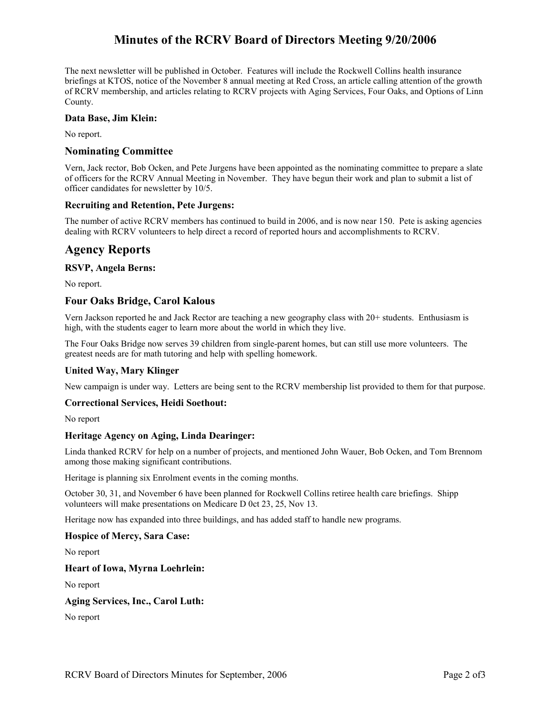# **Minutes of the RCRV Board of Directors Meeting 9/20/2006**

The next newsletter will be published in October. Features will include the Rockwell Collins health insurance briefings at KTOS, notice of the November 8 annual meeting at Red Cross, an article calling attention of the growth of RCRV membership, and articles relating to RCRV projects with Aging Services, Four Oaks, and Options of Linn County.

## **Data Base, Jim Klein:**

No report.

## **Nominating Committee**

Vern, Jack rector, Bob Ocken, and Pete Jurgens have been appointed as the nominating committee to prepare a slate of officers for the RCRV Annual Meeting in November. They have begun their work and plan to submit a list of officer candidates for newsletter by 10/5.

## **Recruiting and Retention, Pete Jurgens:**

The number of active RCRV members has continued to build in 2006, and is now near 150. Pete is asking agencies dealing with RCRV volunteers to help direct a record of reported hours and accomplishments to RCRV.

# **Agency Reports**

## **RSVP, Angela Berns:**

No report.

## **Four Oaks Bridge, Carol Kalous**

Vern Jackson reported he and Jack Rector are teaching a new geography class with 20+ students. Enthusiasm is high, with the students eager to learn more about the world in which they live.

The Four Oaks Bridge now serves 39 children from single-parent homes, but can still use more volunteers. The greatest needs are for math tutoring and help with spelling homework.

## **United Way, Mary Klinger**

New campaign is under way. Letters are being sent to the RCRV membership list provided to them for that purpose.

### **Correctional Services, Heidi Soethout:**

No report

## **Heritage Agency on Aging, Linda Dearinger:**

Linda thanked RCRV for help on a number of projects, and mentioned John Wauer, Bob Ocken, and Tom Brennom among those making significant contributions.

Heritage is planning six Enrolment events in the coming months.

October 30, 31, and November 6 have been planned for Rockwell Collins retiree health care briefings. Shipp volunteers will make presentations on Medicare D 0ct 23, 25, Nov 13.

Heritage now has expanded into three buildings, and has added staff to handle new programs.

### **Hospice of Mercy, Sara Case:**

No report

### **Heart of Iowa, Myrna Loehrlein:**

No report

### **Aging Services, Inc., Carol Luth:**

No report